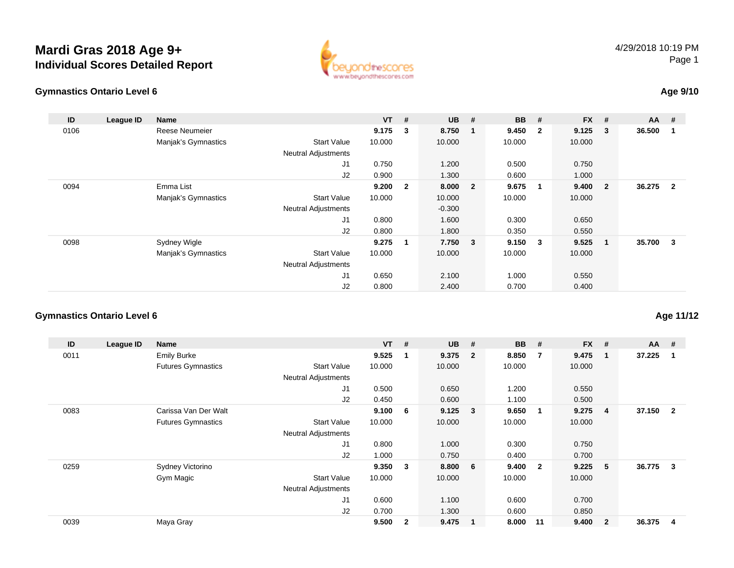



### **Age 9/10**

| ID   | League ID | <b>Name</b>         |                            | <b>VT</b> | #              | <b>UB</b> | #                       | <b>BB</b> | #                       | $FX$ # |                         | AA     | #                       |
|------|-----------|---------------------|----------------------------|-----------|----------------|-----------|-------------------------|-----------|-------------------------|--------|-------------------------|--------|-------------------------|
| 0106 |           | Reese Neumeier      |                            | 9.175     | 3              | 8.750     | 1                       | 9.450     | $\overline{\mathbf{2}}$ | 9.125  | $\overline{\mathbf{3}}$ | 36.500 | -1                      |
|      |           | Manjak's Gymnastics | <b>Start Value</b>         | 10.000    |                | 10.000    |                         | 10.000    |                         | 10.000 |                         |        |                         |
|      |           |                     | <b>Neutral Adjustments</b> |           |                |           |                         |           |                         |        |                         |        |                         |
|      |           |                     | J1                         | 0.750     |                | 1.200     |                         | 0.500     |                         | 0.750  |                         |        |                         |
|      |           |                     | J2                         | 0.900     |                | 1.300     |                         | 0.600     |                         | 1.000  |                         |        |                         |
| 0094 |           | Emma List           |                            | 9.200     | $\overline{2}$ | 8.000     | $\overline{\mathbf{2}}$ | 9.675     |                         | 9.400  | $\overline{\mathbf{2}}$ | 36.275 | $\overline{2}$          |
|      |           | Manjak's Gymnastics | <b>Start Value</b>         | 10.000    |                | 10.000    |                         | 10.000    |                         | 10.000 |                         |        |                         |
|      |           |                     | <b>Neutral Adjustments</b> |           |                | $-0.300$  |                         |           |                         |        |                         |        |                         |
|      |           |                     | J1                         | 0.800     |                | 1.600     |                         | 0.300     |                         | 0.650  |                         |        |                         |
|      |           |                     | J2                         | 0.800     |                | 1.800     |                         | 0.350     |                         | 0.550  |                         |        |                         |
| 0098 |           | Sydney Wigle        |                            | 9.275     | 1              | 7.750 3   |                         | 9.150     | $\overline{\mathbf{3}}$ | 9.525  | $\blacksquare$          | 35.700 | $\overline{\mathbf{3}}$ |
|      |           | Manjak's Gymnastics | <b>Start Value</b>         | 10.000    |                | 10.000    |                         | 10.000    |                         | 10.000 |                         |        |                         |
|      |           |                     | <b>Neutral Adjustments</b> |           |                |           |                         |           |                         |        |                         |        |                         |
|      |           |                     | J1                         | 0.650     |                | 2.100     |                         | 1.000     |                         | 0.550  |                         |        |                         |
|      |           |                     | J2                         | 0.800     |                | 2.400     |                         | 0.700     |                         | 0.400  |                         |        |                         |

#### **Gymnastics Ontario Level 6**

| ID   | League ID | Name                      |                            | $VT$ # |              | <b>UB</b> | #                       | <b>BB</b> | #                       | <b>FX</b> | #              | $AA$ # |                |
|------|-----------|---------------------------|----------------------------|--------|--------------|-----------|-------------------------|-----------|-------------------------|-----------|----------------|--------|----------------|
| 0011 |           | <b>Emily Burke</b>        |                            | 9.525  |              | 9.375     | $\overline{\mathbf{2}}$ | 8.850     | 7                       | 9.475     | $\mathbf{1}$   | 37.225 | 1              |
|      |           | <b>Futures Gymnastics</b> | <b>Start Value</b>         | 10.000 |              | 10.000    |                         | 10.000    |                         | 10.000    |                |        |                |
|      |           |                           | <b>Neutral Adjustments</b> |        |              |           |                         |           |                         |           |                |        |                |
|      |           |                           | J1                         | 0.500  |              | 0.650     |                         | 1.200     |                         | 0.550     |                |        |                |
|      |           |                           | J <sub>2</sub>             | 0.450  |              | 0.600     |                         | 1.100     |                         | 0.500     |                |        |                |
| 0083 |           | Carissa Van Der Walt      |                            | 9.100  | - 6          | 9.125     | $\overline{\mathbf{3}}$ | 9.650     | -1                      | 9.275     | 4              | 37.150 | $\overline{2}$ |
|      |           | <b>Futures Gymnastics</b> | <b>Start Value</b>         | 10.000 |              | 10.000    |                         | 10.000    |                         | 10.000    |                |        |                |
|      |           |                           | <b>Neutral Adjustments</b> |        |              |           |                         |           |                         |           |                |        |                |
|      |           |                           | J1                         | 0.800  |              | 1.000     |                         | 0.300     |                         | 0.750     |                |        |                |
|      |           |                           | J <sub>2</sub>             | 1.000  |              | 0.750     |                         | 0.400     |                         | 0.700     |                |        |                |
| 0259 |           | Sydney Victorino          |                            | 9.350  | 3            | 8.800     | 6                       | 9.400     | $\overline{\mathbf{2}}$ | 9.225     | 5              | 36.775 | 3              |
|      |           | Gym Magic                 | <b>Start Value</b>         | 10.000 |              | 10.000    |                         | 10.000    |                         | 10.000    |                |        |                |
|      |           |                           | <b>Neutral Adjustments</b> |        |              |           |                         |           |                         |           |                |        |                |
|      |           |                           | J <sub>1</sub>             | 0.600  |              | 1.100     |                         | 0.600     |                         | 0.700     |                |        |                |
|      |           |                           | J <sub>2</sub>             | 0.700  |              | 1.300     |                         | 0.600     |                         | 0.850     |                |        |                |
| 0039 |           | Maya Gray                 |                            | 9.500  | $\mathbf{2}$ | 9.475     |                         | 8.000     | 11                      | 9.400     | $\overline{2}$ | 36.375 | 4              |

### **Age 11/12**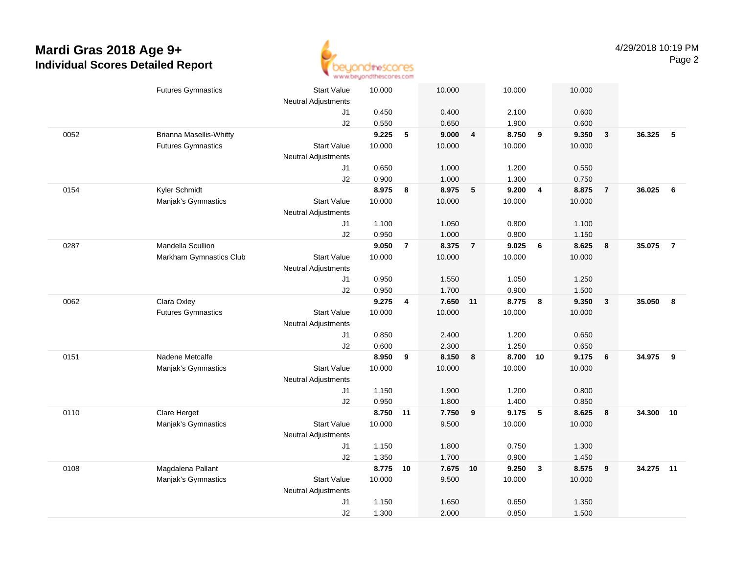

|      | <b>Futures Gymnastics</b>      | <b>Start Value</b>         | 10.000 |                | 10.000   |                | 10.000 |                | 10.000 |                         |        |                |
|------|--------------------------------|----------------------------|--------|----------------|----------|----------------|--------|----------------|--------|-------------------------|--------|----------------|
|      |                                | <b>Neutral Adjustments</b> |        |                |          |                |        |                |        |                         |        |                |
|      |                                | J1                         | 0.450  |                | 0.400    |                | 2.100  |                | 0.600  |                         |        |                |
|      |                                | J2                         | 0.550  |                | 0.650    |                | 1.900  |                | 0.600  |                         |        |                |
| 0052 | <b>Brianna Masellis-Whitty</b> |                            | 9.225  | 5              | 9.000    | 4              | 8.750  | 9              | 9.350  | $\overline{\mathbf{3}}$ | 36.325 | -5             |
|      | <b>Futures Gymnastics</b>      | <b>Start Value</b>         | 10.000 |                | 10.000   |                | 10.000 |                | 10.000 |                         |        |                |
|      |                                | <b>Neutral Adjustments</b> |        |                |          |                |        |                |        |                         |        |                |
|      |                                | J1                         | 0.650  |                | 1.000    |                | 1.200  |                | 0.550  |                         |        |                |
|      |                                | J2                         | 0.900  |                | 1.000    |                | 1.300  |                | 0.750  |                         |        |                |
| 0154 | Kyler Schmidt                  |                            | 8.975  | 8              | 8.975    | 5              | 9.200  | $\overline{4}$ | 8.875  | $\overline{7}$          | 36.025 | 6              |
|      | Manjak's Gymnastics            | <b>Start Value</b>         | 10.000 |                | 10.000   |                | 10.000 |                | 10.000 |                         |        |                |
|      |                                | <b>Neutral Adjustments</b> |        |                |          |                |        |                |        |                         |        |                |
|      |                                | J1                         | 1.100  |                | 1.050    |                | 0.800  |                | 1.100  |                         |        |                |
|      |                                | J2                         | 0.950  |                | 1.000    |                | 0.800  |                | 1.150  |                         |        |                |
| 0287 | Mandella Scullion              |                            | 9.050  | $\overline{7}$ | 8.375    | $\overline{7}$ | 9.025  | 6              | 8.625  | 8                       | 35.075 | $\overline{7}$ |
|      | Markham Gymnastics Club        | <b>Start Value</b>         | 10.000 |                | 10.000   |                | 10.000 |                | 10.000 |                         |        |                |
|      |                                | <b>Neutral Adjustments</b> |        |                |          |                |        |                |        |                         |        |                |
|      |                                | J1                         | 0.950  |                | 1.550    |                | 1.050  |                | 1.250  |                         |        |                |
|      |                                | J2                         | 0.950  |                | 1.700    |                | 0.900  |                | 1.500  |                         |        |                |
| 0062 | Clara Oxley                    |                            | 9.275  | 4              | 7.650 11 |                | 8.775  | 8              | 9.350  | $\overline{\mathbf{3}}$ | 35.050 | 8              |
|      | <b>Futures Gymnastics</b>      | <b>Start Value</b>         | 10.000 |                | 10.000   |                | 10.000 |                | 10.000 |                         |        |                |
|      |                                | <b>Neutral Adjustments</b> |        |                |          |                |        |                |        |                         |        |                |
|      |                                | J1                         | 0.850  |                | 2.400    |                | 1.200  |                | 0.650  |                         |        |                |
|      |                                | J2                         | 0.600  |                | 2.300    |                | 1.250  |                | 0.650  |                         |        |                |
| 0151 | Nadene Metcalfe                |                            | 8.950  | 9              | 8.150    | 8              | 8.700  | 10             | 9.175  | 6                       | 34.975 | 9              |
|      | Manjak's Gymnastics            | <b>Start Value</b>         | 10.000 |                | 10.000   |                | 10.000 |                | 10.000 |                         |        |                |
|      |                                | <b>Neutral Adjustments</b> |        |                |          |                |        |                |        |                         |        |                |
|      |                                | J1                         | 1.150  |                | 1.900    |                | 1.200  |                | 0.800  |                         |        |                |
|      |                                | J2                         | 0.950  |                | 1.800    |                | 1.400  |                | 0.850  |                         |        |                |
| 0110 | Clare Herget                   |                            | 8.750  | 11             | 7.750    | 9              | 9.175  | 5              | 8.625  | 8                       | 34.300 | 10             |
|      | Manjak's Gymnastics            | <b>Start Value</b>         | 10.000 |                | 9.500    |                | 10.000 |                | 10.000 |                         |        |                |
|      |                                | <b>Neutral Adjustments</b> |        |                |          |                |        |                |        |                         |        |                |
|      |                                | J1                         | 1.150  |                | 1.800    |                | 0.750  |                | 1.300  |                         |        |                |
|      |                                | J2                         | 1.350  |                | 1.700    |                | 0.900  |                | 1.450  |                         |        |                |
| 0108 | Magdalena Pallant              |                            | 8.775  | 10             | 7.675    | 10             | 9.250  | $\mathbf{3}$   | 8.575  | 9                       | 34.275 | 11             |
|      | Manjak's Gymnastics            | <b>Start Value</b>         | 10.000 |                | 9.500    |                | 10.000 |                | 10.000 |                         |        |                |
|      |                                | <b>Neutral Adjustments</b> |        |                |          |                |        |                |        |                         |        |                |
|      |                                | J1                         | 1.150  |                | 1.650    |                | 0.650  |                | 1.350  |                         |        |                |
|      |                                | J2                         | 1.300  |                | 2.000    |                | 0.850  |                | 1.500  |                         |        |                |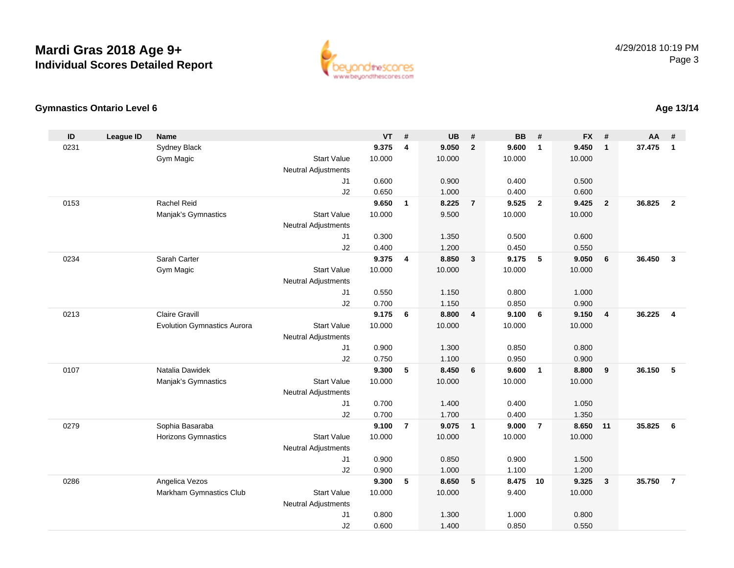

#### **Gymnastics Ontario Level 6**

| ID   | <b>League ID</b> | <b>Name</b>                        |                                              | <b>VT</b> | #                       | <b>UB</b> | #               | <b>BB</b> | #              | <b>FX</b> | #              | <b>AA</b> | #              |
|------|------------------|------------------------------------|----------------------------------------------|-----------|-------------------------|-----------|-----------------|-----------|----------------|-----------|----------------|-----------|----------------|
| 0231 |                  | <b>Sydney Black</b>                |                                              | 9.375     | $\overline{\mathbf{4}}$ | 9.050     | $\overline{2}$  | 9.600     | $\overline{1}$ | 9.450     | $\mathbf{1}$   | 37.475    | $\overline{1}$ |
|      |                  | Gym Magic                          | <b>Start Value</b>                           | 10.000    |                         | 10.000    |                 | 10.000    |                | 10.000    |                |           |                |
|      |                  |                                    | <b>Neutral Adjustments</b>                   |           |                         |           |                 |           |                |           |                |           |                |
|      |                  |                                    | J <sub>1</sub>                               | 0.600     |                         | 0.900     |                 | 0.400     |                | 0.500     |                |           |                |
|      |                  |                                    | J2                                           | 0.650     |                         | 1.000     |                 | 0.400     |                | 0.600     |                |           |                |
| 0153 |                  | Rachel Reid                        |                                              | 9.650     | $\mathbf{1}$            | 8.225     | $\overline{7}$  | 9.525     | $\overline{2}$ | 9.425     | $\overline{2}$ | 36.825    | $\overline{2}$ |
|      |                  | Manjak's Gymnastics                | <b>Start Value</b>                           | 10.000    |                         | 9.500     |                 | 10.000    |                | 10.000    |                |           |                |
|      |                  |                                    | <b>Neutral Adjustments</b>                   |           |                         |           |                 |           |                |           |                |           |                |
|      |                  |                                    | J <sub>1</sub>                               | 0.300     |                         | 1.350     |                 | 0.500     |                | 0.600     |                |           |                |
|      |                  |                                    | J2                                           | 0.400     |                         | 1.200     |                 | 0.450     |                | 0.550     |                |           |                |
| 0234 |                  | Sarah Carter                       |                                              | 9.375     | $\overline{4}$          | 8.850     | $\mathbf{3}$    | 9.175     | 5              | 9.050     | 6              | 36.450    | $\mathbf{3}$   |
|      |                  | Gym Magic                          | <b>Start Value</b>                           | 10.000    |                         | 10.000    |                 | 10.000    |                | 10.000    |                |           |                |
|      |                  |                                    | <b>Neutral Adjustments</b>                   |           |                         |           |                 |           |                |           |                |           |                |
|      |                  |                                    | J <sub>1</sub>                               | 0.550     |                         | 1.150     |                 | 0.800     |                | 1.000     |                |           |                |
|      |                  |                                    | J2                                           | 0.700     |                         | 1.150     |                 | 0.850     |                | 0.900     |                |           |                |
| 0213 |                  | <b>Claire Gravill</b>              |                                              | 9.175     | 6                       | 8.800     | $\overline{4}$  | 9.100     | 6              | 9.150     | $\overline{4}$ | 36.225    | $\overline{4}$ |
|      |                  | <b>Evolution Gymnastics Aurora</b> | <b>Start Value</b>                           | 10.000    |                         | 10.000    |                 | 10.000    |                | 10.000    |                |           |                |
|      |                  |                                    | <b>Neutral Adjustments</b>                   |           |                         |           |                 |           |                |           |                |           |                |
|      |                  |                                    | J <sub>1</sub>                               | 0.900     |                         | 1.300     |                 | 0.850     |                | 0.800     |                |           |                |
|      |                  |                                    | J2                                           | 0.750     |                         | 1.100     |                 | 0.950     |                | 0.900     |                |           |                |
| 0107 |                  | Natalia Dawidek                    |                                              | 9.300     | 5                       | 8.450     | 6               | 9.600     | $\overline{1}$ | 8.800     | 9              | 36.150    | 5              |
|      |                  | Manjak's Gymnastics                | <b>Start Value</b>                           | 10.000    |                         | 10.000    |                 | 10.000    |                | 10.000    |                |           |                |
|      |                  |                                    | <b>Neutral Adjustments</b>                   |           |                         |           |                 |           |                |           |                |           |                |
|      |                  |                                    | J <sub>1</sub>                               | 0.700     |                         | 1.400     |                 | 0.400     |                | 1.050     |                |           |                |
|      |                  |                                    | J2                                           | 0.700     |                         | 1.700     |                 | 0.400     |                | 1.350     |                |           |                |
| 0279 |                  | Sophia Basaraba                    |                                              | 9.100     | $\overline{7}$          | 9.075     | $\overline{1}$  | 9.000     | $\overline{7}$ | 8.650     | 11             | 35.825    | 6              |
|      |                  | <b>Horizons Gymnastics</b>         | <b>Start Value</b>                           | 10.000    |                         | 10.000    |                 | 10.000    |                | 10.000    |                |           |                |
|      |                  |                                    | <b>Neutral Adjustments</b>                   |           |                         |           |                 |           |                |           |                |           |                |
|      |                  |                                    | J1                                           | 0.900     |                         | 0.850     |                 | 0.900     |                | 1.500     |                |           |                |
|      |                  |                                    | J2                                           | 0.900     |                         | 1.000     |                 | 1.100     | 10             | 1.200     |                |           |                |
| 0286 |                  | Angelica Vezos                     |                                              | 9.300     | 5                       | 8.650     | $5\phantom{.0}$ | 8.475     |                | 9.325     | $\mathbf{3}$   | 35.750    | $\overline{7}$ |
|      |                  | Markham Gymnastics Club            | <b>Start Value</b>                           | 10.000    |                         | 10.000    |                 | 9.400     |                | 10.000    |                |           |                |
|      |                  |                                    | <b>Neutral Adjustments</b><br>J <sub>1</sub> | 0.800     |                         | 1.300     |                 | 1.000     |                | 0.800     |                |           |                |
|      |                  |                                    | J2                                           | 0.600     |                         | 1.400     |                 | 0.850     |                | 0.550     |                |           |                |
|      |                  |                                    |                                              |           |                         |           |                 |           |                |           |                |           |                |

### **Age 13/14**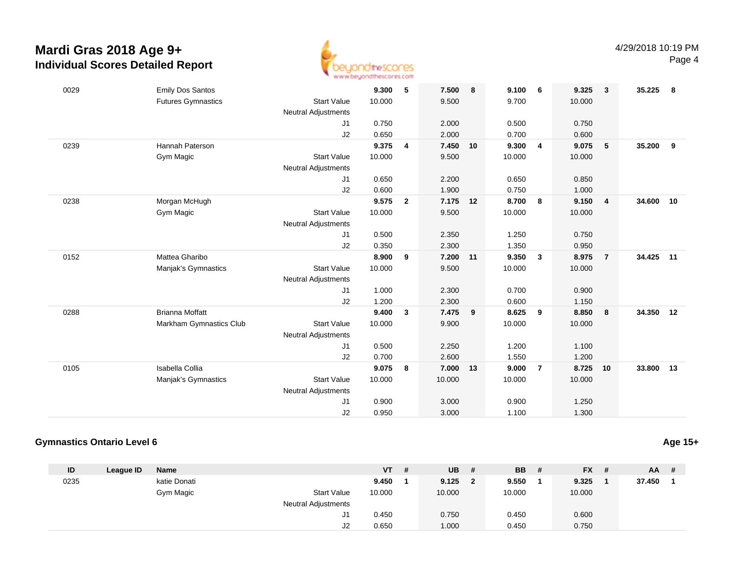

| 0029 | <b>Emily Dos Santos</b>   |                            | 9.300  | 5              | 7.500    | 8  | 9.100  | - 6                     | 9.325  | $\mathbf{3}$   | 35.225    | - 8 |
|------|---------------------------|----------------------------|--------|----------------|----------|----|--------|-------------------------|--------|----------------|-----------|-----|
|      | <b>Futures Gymnastics</b> | <b>Start Value</b>         | 10.000 |                | 9.500    |    | 9.700  |                         | 10.000 |                |           |     |
|      |                           | <b>Neutral Adjustments</b> |        |                |          |    |        |                         |        |                |           |     |
|      |                           | J1                         | 0.750  |                | 2.000    |    | 0.500  |                         | 0.750  |                |           |     |
|      |                           | J2                         | 0.650  |                | 2.000    |    | 0.700  |                         | 0.600  |                |           |     |
| 0239 | Hannah Paterson           |                            | 9.375  | 4              | 7.450    | 10 | 9.300  | $\overline{4}$          | 9.075  | 5              | 35.200    | 9   |
|      | Gym Magic                 | <b>Start Value</b>         | 10.000 |                | 9.500    |    | 10.000 |                         | 10.000 |                |           |     |
|      |                           | <b>Neutral Adjustments</b> |        |                |          |    |        |                         |        |                |           |     |
|      |                           | J1                         | 0.650  |                | 2.200    |    | 0.650  |                         | 0.850  |                |           |     |
|      |                           | J2                         | 0.600  |                | 1.900    |    | 0.750  |                         | 1.000  |                |           |     |
| 0238 | Morgan McHugh             |                            | 9.575  | $\overline{2}$ | 7.175 12 |    | 8.700  | 8                       | 9.150  | $\overline{4}$ | 34.600    | 10  |
|      | Gym Magic                 | <b>Start Value</b>         | 10.000 |                | 9.500    |    | 10.000 |                         | 10.000 |                |           |     |
|      |                           | <b>Neutral Adjustments</b> |        |                |          |    |        |                         |        |                |           |     |
|      |                           | J1                         | 0.500  |                | 2.350    |    | 1.250  |                         | 0.750  |                |           |     |
|      |                           | J2                         | 0.350  |                | 2.300    |    | 1.350  |                         | 0.950  |                |           |     |
| 0152 | Mattea Gharibo            |                            | 8.900  | 9              | 7.200    | 11 | 9.350  | $\overline{\mathbf{3}}$ | 8.975  | $\overline{7}$ | 34.425 11 |     |
|      | Manjak's Gymnastics       | <b>Start Value</b>         | 10.000 |                | 9.500    |    | 10.000 |                         | 10.000 |                |           |     |
|      |                           | <b>Neutral Adjustments</b> |        |                |          |    |        |                         |        |                |           |     |
|      |                           | J1                         | 1.000  |                | 2.300    |    | 0.700  |                         | 0.900  |                |           |     |
|      |                           | J2                         | 1.200  |                | 2.300    |    | 0.600  |                         | 1.150  |                |           |     |
| 0288 | <b>Brianna Moffatt</b>    |                            | 9.400  | 3              | 7.475    | 9  | 8.625  | 9                       | 8.850  | -8             | 34.350    | 12  |
|      | Markham Gymnastics Club   | <b>Start Value</b>         | 10.000 |                | 9.900    |    | 10.000 |                         | 10.000 |                |           |     |
|      |                           | <b>Neutral Adjustments</b> |        |                |          |    |        |                         |        |                |           |     |
|      |                           | J1                         | 0.500  |                | 2.250    |    | 1.200  |                         | 1.100  |                |           |     |
|      |                           | J2                         | 0.700  |                | 2.600    |    | 1.550  |                         | 1.200  |                |           |     |
| 0105 | Isabella Collia           |                            | 9.075  | 8              | 7.000    | 13 | 9.000  | $\overline{7}$          | 8.725  | 10             | 33.800    | 13  |
|      | Manjak's Gymnastics       | <b>Start Value</b>         | 10.000 |                | 10.000   |    | 10.000 |                         | 10.000 |                |           |     |
|      |                           | <b>Neutral Adjustments</b> |        |                |          |    |        |                         |        |                |           |     |
|      |                           | J1                         | 0.900  |                | 3.000    |    | 0.900  |                         | 1.250  |                |           |     |
|      |                           | J2                         | 0.950  |                | 3.000    |    | 1.100  |                         | 1.300  |                |           |     |
|      |                           |                            |        |                |          |    |        |                         |        |                |           |     |

#### **Gymnastics Ontario Level 6**

| u |  | Age 15+ |
|---|--|---------|
|   |  |         |

| ID   | League ID | <b>Name</b>  |                            | <b>VT</b> | -# | <b>UB</b> | #              | <b>BB</b> | # | $FX$ # |        | $AA$ # |
|------|-----------|--------------|----------------------------|-----------|----|-----------|----------------|-----------|---|--------|--------|--------|
| 0235 |           | katie Donati |                            | 9.450     |    | 9.125     | $\overline{2}$ | 9.550     |   | 9.325  | 37.450 |        |
|      |           | Gym Magic    | <b>Start Value</b>         | 10.000    |    | 10.000    |                | 10.000    |   | 10.000 |        |        |
|      |           |              | <b>Neutral Adjustments</b> |           |    |           |                |           |   |        |        |        |
|      |           |              | ا ب                        | 0.450     |    | 0.750     |                | 0.450     |   | 0.600  |        |        |
|      |           |              | J2                         | 0.650     |    | 1.000     |                | 0.450     |   | 0.750  |        |        |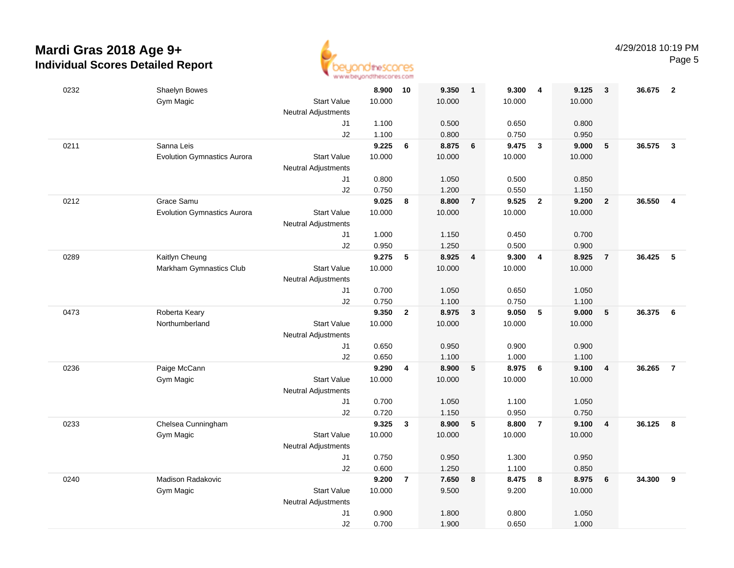

| 0232 | Shaelyn Bowes                      |                            | 8.900  | 10             | 9.350  | $\overline{\mathbf{1}}$ | 9.300  | 4              | 9.125  | 3                       | 36.675 | $\overline{2}$ |
|------|------------------------------------|----------------------------|--------|----------------|--------|-------------------------|--------|----------------|--------|-------------------------|--------|----------------|
|      | Gym Magic                          | <b>Start Value</b>         | 10.000 |                | 10.000 |                         | 10.000 |                | 10.000 |                         |        |                |
|      |                                    | <b>Neutral Adjustments</b> |        |                |        |                         |        |                |        |                         |        |                |
|      |                                    | J1                         | 1.100  |                | 0.500  |                         | 0.650  |                | 0.800  |                         |        |                |
|      |                                    | J2                         | 1.100  |                | 0.800  |                         | 0.750  |                | 0.950  |                         |        |                |
| 0211 | Sanna Leis                         |                            | 9.225  | 6              | 8.875  | 6                       | 9.475  | $\mathbf{3}$   | 9.000  | 5                       | 36.575 | $\mathbf{3}$   |
|      | <b>Evolution Gymnastics Aurora</b> | <b>Start Value</b>         | 10.000 |                | 10.000 |                         | 10.000 |                | 10.000 |                         |        |                |
|      |                                    | <b>Neutral Adjustments</b> |        |                |        |                         |        |                |        |                         |        |                |
|      |                                    | J1                         | 0.800  |                | 1.050  |                         | 0.500  |                | 0.850  |                         |        |                |
|      |                                    | J2                         | 0.750  |                | 1.200  |                         | 0.550  |                | 1.150  |                         |        |                |
| 0212 | Grace Samu                         |                            | 9.025  | 8              | 8.800  | $\overline{7}$          | 9.525  | $\overline{2}$ | 9.200  | $\overline{2}$          | 36.550 | $\overline{4}$ |
|      | <b>Evolution Gymnastics Aurora</b> | <b>Start Value</b>         | 10.000 |                | 10.000 |                         | 10.000 |                | 10.000 |                         |        |                |
|      |                                    | Neutral Adjustments        |        |                |        |                         |        |                |        |                         |        |                |
|      |                                    | J1                         | 1.000  |                | 1.150  |                         | 0.450  |                | 0.700  |                         |        |                |
|      |                                    | J2                         | 0.950  |                | 1.250  |                         | 0.500  |                | 0.900  |                         |        |                |
| 0289 | Kaitlyn Cheung                     |                            | 9.275  | 5              | 8.925  | $\overline{4}$          | 9.300  | $\overline{4}$ | 8.925  | $\overline{7}$          | 36.425 | 5              |
|      | Markham Gymnastics Club            | <b>Start Value</b>         | 10.000 |                | 10.000 |                         | 10.000 |                | 10.000 |                         |        |                |
|      |                                    | <b>Neutral Adjustments</b> |        |                |        |                         |        |                |        |                         |        |                |
|      |                                    | J1                         | 0.700  |                | 1.050  |                         | 0.650  |                | 1.050  |                         |        |                |
|      |                                    | J2                         | 0.750  |                | 1.100  |                         | 0.750  |                | 1.100  |                         |        |                |
| 0473 | Roberta Keary                      |                            | 9.350  | $\overline{2}$ | 8.975  | $\mathbf{3}$            | 9.050  | 5              | 9.000  | 5                       | 36.375 | 6              |
|      | Northumberland                     | <b>Start Value</b>         | 10.000 |                | 10.000 |                         | 10.000 |                | 10.000 |                         |        |                |
|      |                                    | <b>Neutral Adjustments</b> |        |                |        |                         |        |                |        |                         |        |                |
|      |                                    | J1                         | 0.650  |                | 0.950  |                         | 0.900  |                | 0.900  |                         |        |                |
|      |                                    | J2                         | 0.650  |                | 1.100  |                         | 1.000  |                | 1.100  |                         |        |                |
| 0236 | Paige McCann                       |                            | 9.290  | 4              | 8.900  | 5                       | 8.975  | 6              | 9.100  | $\overline{\mathbf{4}}$ | 36.265 | $\overline{7}$ |
|      | Gym Magic                          | <b>Start Value</b>         | 10.000 |                | 10.000 |                         | 10.000 |                | 10.000 |                         |        |                |
|      |                                    | <b>Neutral Adjustments</b> |        |                |        |                         |        |                |        |                         |        |                |
|      |                                    | J1                         | 0.700  |                | 1.050  |                         | 1.100  |                | 1.050  |                         |        |                |
|      |                                    | J2                         | 0.720  |                | 1.150  |                         | 0.950  |                | 0.750  |                         |        |                |
| 0233 | Chelsea Cunningham                 |                            | 9.325  | $\mathbf{3}$   | 8.900  | 5                       | 8.800  | $\overline{7}$ | 9.100  | $\overline{\mathbf{4}}$ | 36.125 | 8              |
|      | Gym Magic                          | <b>Start Value</b>         | 10.000 |                | 10.000 |                         | 10.000 |                | 10.000 |                         |        |                |
|      |                                    | <b>Neutral Adjustments</b> |        |                |        |                         |        |                |        |                         |        |                |
|      |                                    | J1                         | 0.750  |                | 0.950  |                         | 1.300  |                | 0.950  |                         |        |                |
|      |                                    | J2                         | 0.600  |                | 1.250  |                         | 1.100  |                | 0.850  |                         |        |                |
| 0240 | Madison Radakovic                  |                            | 9.200  | $\overline{7}$ | 7.650  | 8                       | 8.475  | 8              | 8.975  | 6                       | 34.300 | 9              |
|      | Gym Magic                          | <b>Start Value</b>         | 10.000 |                | 9.500  |                         | 9.200  |                | 10.000 |                         |        |                |
|      |                                    | <b>Neutral Adjustments</b> |        |                |        |                         |        |                |        |                         |        |                |
|      |                                    | J1                         | 0.900  |                | 1.800  |                         | 0.800  |                | 1.050  |                         |        |                |
|      |                                    | J2                         | 0.700  |                | 1.900  |                         | 0.650  |                | 1.000  |                         |        |                |